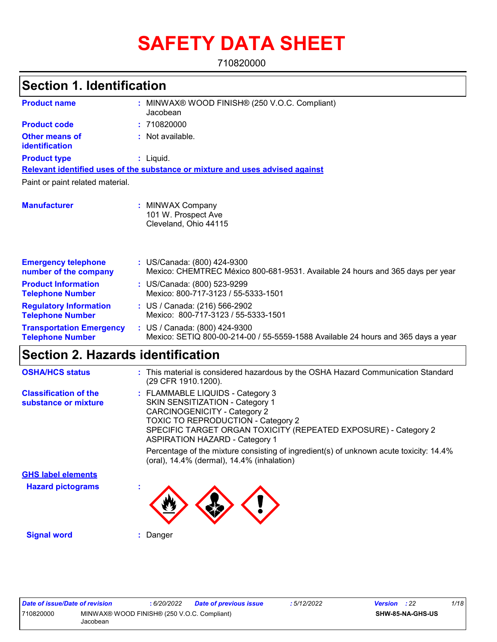# **SAFETY DATA SHEET**

710820000

| <b>Section 1. Identification</b>                           |                                                                                                                    |
|------------------------------------------------------------|--------------------------------------------------------------------------------------------------------------------|
| <b>Product name</b>                                        | : MINWAX® WOOD FINISH® (250 V.O.C. Compliant)<br>Jacobean                                                          |
| <b>Product code</b>                                        | 710820000                                                                                                          |
| <b>Other means of</b><br>identification                    | : Not available.                                                                                                   |
| <b>Product type</b>                                        | : Liquid.                                                                                                          |
|                                                            | Relevant identified uses of the substance or mixture and uses advised against                                      |
| Paint or paint related material.                           |                                                                                                                    |
| <b>Manufacturer</b>                                        | : MINWAX Company<br>101 W. Prospect Ave<br>Cleveland, Ohio 44115                                                   |
| <b>Emergency telephone</b><br>number of the company        | : US/Canada: (800) 424-9300<br>Mexico: CHEMTREC México 800-681-9531. Available 24 hours and 365 days per year      |
| <b>Product Information</b><br><b>Telephone Number</b>      | : US/Canada: (800) 523-9299<br>Mexico: 800-717-3123 / 55-5333-1501                                                 |
| <b>Regulatory Information</b><br><b>Telephone Number</b>   | : US / Canada: (216) 566-2902<br>Mexico: 800-717-3123 / 55-5333-1501                                               |
| <b>Transportation Emergency</b><br><b>Telephone Number</b> | : US / Canada: (800) 424-9300<br>Mexico: SETIQ 800-00-214-00 / 55-5559-1588 Available 24 hours and 365 days a year |

### **Section 2. Hazards identification**

| <b>OSHA/HCS status</b>                               | : This material is considered hazardous by the OSHA Hazard Communication Standard<br>(29 CFR 1910.1200).                                                                                                                                                                                                                                                                                                    |
|------------------------------------------------------|-------------------------------------------------------------------------------------------------------------------------------------------------------------------------------------------------------------------------------------------------------------------------------------------------------------------------------------------------------------------------------------------------------------|
| <b>Classification of the</b><br>substance or mixture | : FLAMMABLE LIQUIDS - Category 3<br>SKIN SENSITIZATION - Category 1<br><b>CARCINOGENICITY - Category 2</b><br><b>TOXIC TO REPRODUCTION - Category 2</b><br>SPECIFIC TARGET ORGAN TOXICITY (REPEATED EXPOSURE) - Category 2<br><b>ASPIRATION HAZARD - Category 1</b><br>Percentage of the mixture consisting of ingredient(s) of unknown acute toxicity: 14.4%<br>(oral), 14.4% (dermal), 14.4% (inhalation) |
| <b>GHS label elements</b>                            |                                                                                                                                                                                                                                                                                                                                                                                                             |
| <b>Hazard pictograms</b>                             |                                                                                                                                                                                                                                                                                                                                                                                                             |
| <b>Signal word</b>                                   | Danger                                                                                                                                                                                                                                                                                                                                                                                                      |

| Date of issue/Date of revision |                                                         | : 6/20/2022 | <b>Date of previous issue</b> | : 5/12/2022 | <b>Version</b> : 22 |                         | 1/18 |
|--------------------------------|---------------------------------------------------------|-------------|-------------------------------|-------------|---------------------|-------------------------|------|
| 710820000                      | MINWAX® WOOD FINISH® (250 V.O.C. Compliant)<br>Jacobean |             |                               |             |                     | <b>SHW-85-NA-GHS-US</b> |      |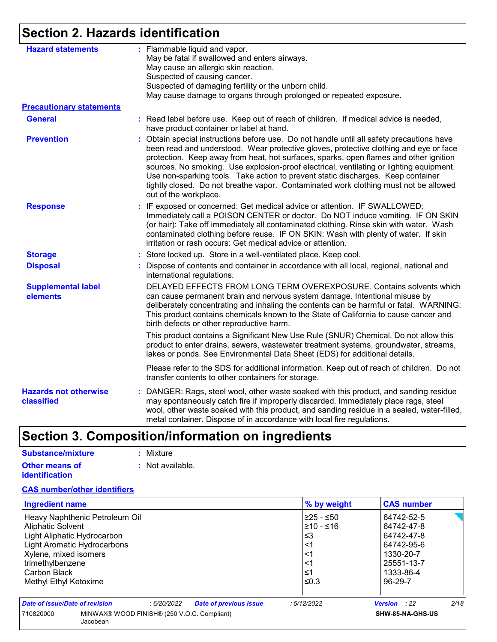## **Section 2. Hazards identification**

| <b>Hazard statements</b>                   | : Flammable liquid and vapor.<br>May be fatal if swallowed and enters airways.                                                                                                                                                                                                                                                                                                                                                                                                                                                                                                  |
|--------------------------------------------|---------------------------------------------------------------------------------------------------------------------------------------------------------------------------------------------------------------------------------------------------------------------------------------------------------------------------------------------------------------------------------------------------------------------------------------------------------------------------------------------------------------------------------------------------------------------------------|
|                                            | May cause an allergic skin reaction.                                                                                                                                                                                                                                                                                                                                                                                                                                                                                                                                            |
|                                            | Suspected of causing cancer.                                                                                                                                                                                                                                                                                                                                                                                                                                                                                                                                                    |
|                                            | Suspected of damaging fertility or the unborn child.                                                                                                                                                                                                                                                                                                                                                                                                                                                                                                                            |
|                                            | May cause damage to organs through prolonged or repeated exposure.                                                                                                                                                                                                                                                                                                                                                                                                                                                                                                              |
| <b>Precautionary statements</b>            |                                                                                                                                                                                                                                                                                                                                                                                                                                                                                                                                                                                 |
| <b>General</b>                             | : Read label before use. Keep out of reach of children. If medical advice is needed,<br>have product container or label at hand.                                                                                                                                                                                                                                                                                                                                                                                                                                                |
| <b>Prevention</b>                          | Obtain special instructions before use. Do not handle until all safety precautions have<br>÷.<br>been read and understood. Wear protective gloves, protective clothing and eye or face<br>protection. Keep away from heat, hot surfaces, sparks, open flames and other ignition<br>sources. No smoking. Use explosion-proof electrical, ventilating or lighting equipment.<br>Use non-sparking tools. Take action to prevent static discharges. Keep container<br>tightly closed. Do not breathe vapor. Contaminated work clothing must not be allowed<br>out of the workplace. |
| <b>Response</b>                            | : IF exposed or concerned: Get medical advice or attention. IF SWALLOWED:<br>Immediately call a POISON CENTER or doctor. Do NOT induce vomiting. IF ON SKIN<br>(or hair): Take off immediately all contaminated clothing. Rinse skin with water. Wash<br>contaminated clothing before reuse. IF ON SKIN: Wash with plenty of water. If skin<br>irritation or rash occurs: Get medical advice or attention.                                                                                                                                                                      |
| <b>Storage</b>                             | : Store locked up. Store in a well-ventilated place. Keep cool.                                                                                                                                                                                                                                                                                                                                                                                                                                                                                                                 |
| <b>Disposal</b>                            | : Dispose of contents and container in accordance with all local, regional, national and<br>international regulations.                                                                                                                                                                                                                                                                                                                                                                                                                                                          |
| <b>Supplemental label</b><br>elements      | DELAYED EFFECTS FROM LONG TERM OVEREXPOSURE. Contains solvents which<br>can cause permanent brain and nervous system damage. Intentional misuse by<br>deliberately concentrating and inhaling the contents can be harmful or fatal. WARNING:<br>This product contains chemicals known to the State of California to cause cancer and<br>birth defects or other reproductive harm.                                                                                                                                                                                               |
|                                            | This product contains a Significant New Use Rule (SNUR) Chemical. Do not allow this<br>product to enter drains, sewers, wastewater treatment systems, groundwater, streams,<br>lakes or ponds. See Environmental Data Sheet (EDS) for additional details.                                                                                                                                                                                                                                                                                                                       |
|                                            | Please refer to the SDS for additional information. Keep out of reach of children. Do not<br>transfer contents to other containers for storage.                                                                                                                                                                                                                                                                                                                                                                                                                                 |
| <b>Hazards not otherwise</b><br>classified | : DANGER: Rags, steel wool, other waste soaked with this product, and sanding residue<br>may spontaneously catch fire if improperly discarded. Immediately place rags, steel<br>wool, other waste soaked with this product, and sanding residue in a sealed, water-filled,<br>metal container. Dispose of in accordance with local fire regulations.                                                                                                                                                                                                                            |

# **Section 3. Composition/information on ingredients**

| Substance/mixture                              | : Mixture        |
|------------------------------------------------|------------------|
| <b>Other means of</b><br><b>identification</b> | : Not available. |

#### **CAS number/other identifiers**

| <b>Ingredient name</b>                |                                             | % by weight | <b>CAS number</b>           |
|---------------------------------------|---------------------------------------------|-------------|-----------------------------|
| Heavy Naphthenic Petroleum Oil        |                                             | l≥25 - ≤50  | 64742-52-5                  |
| Aliphatic Solvent                     |                                             | 16≥ - 10≤ا  | 64742-47-8                  |
| Light Aliphatic Hydrocarbon           |                                             | ≤3          | 64742-47-8                  |
| Light Aromatic Hydrocarbons           |                                             | <1          | 64742-95-6                  |
| Xylene, mixed isomers                 |                                             | <1          | 1330-20-7                   |
| trimethylbenzene                      |                                             | <1          | 25551-13-7                  |
| Carbon Black                          |                                             | ≤1          | 1333-86-4                   |
| Methyl Ethyl Ketoxime                 |                                             | l≤0.3       | 96-29-7                     |
| <b>Date of issue/Date of revision</b> | <b>Date of previous issue</b><br>:6/20/2022 | :5/12/2022  | 2/18<br><b>Version</b> : 22 |
| 710820000<br>Jacobean                 | MINWAX® WOOD FINISH® (250 V.O.C. Compliant) |             | SHW-85-NA-GHS-US            |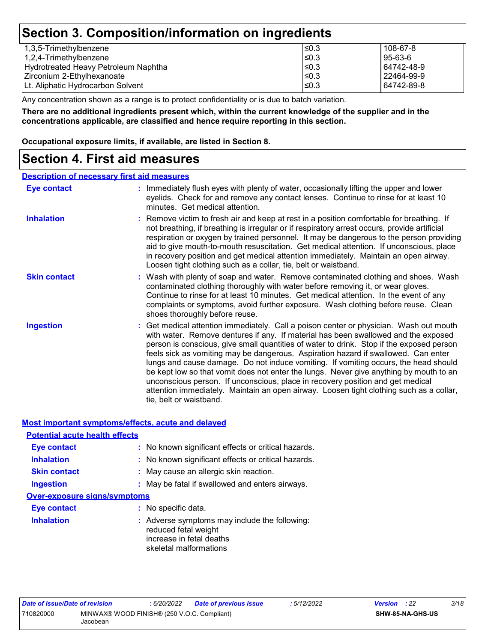### **Section 3. Composition/information on ingredients**

| 1,3,5-Trimethylbenzene               | l≤0.3      | 108-67-8   |
|--------------------------------------|------------|------------|
| $1,2,4$ -Trimethylbenzene            | l≤0.3      | 95-63-6    |
| Hydrotreated Heavy Petroleum Naphtha | l≤0.3      | 64742-48-9 |
| Zirconium 2-Ethylhexanoate           | l≤0.3      | 22464-99-9 |
| Lt. Aliphatic Hydrocarbon Solvent    | $\leq 0.3$ | 64742-89-8 |
|                                      |            |            |

Any concentration shown as a range is to protect confidentiality or is due to batch variation.

**There are no additional ingredients present which, within the current knowledge of the supplier and in the concentrations applicable, are classified and hence require reporting in this section.**

**Occupational exposure limits, if available, are listed in Section 8.**

### **Section 4. First aid measures**

#### **Description of necessary first aid measures**

| <b>Eye contact</b>  | : Immediately flush eyes with plenty of water, occasionally lifting the upper and lower<br>eyelids. Check for and remove any contact lenses. Continue to rinse for at least 10<br>minutes. Get medical attention.                                                                                                                                                                                                                                                                                                                                                                                                                                                                                                                                       |
|---------------------|---------------------------------------------------------------------------------------------------------------------------------------------------------------------------------------------------------------------------------------------------------------------------------------------------------------------------------------------------------------------------------------------------------------------------------------------------------------------------------------------------------------------------------------------------------------------------------------------------------------------------------------------------------------------------------------------------------------------------------------------------------|
| <b>Inhalation</b>   | : Remove victim to fresh air and keep at rest in a position comfortable for breathing. If<br>not breathing, if breathing is irregular or if respiratory arrest occurs, provide artificial<br>respiration or oxygen by trained personnel. It may be dangerous to the person providing<br>aid to give mouth-to-mouth resuscitation. Get medical attention. If unconscious, place<br>in recovery position and get medical attention immediately. Maintain an open airway.<br>Loosen tight clothing such as a collar, tie, belt or waistband.                                                                                                                                                                                                               |
| <b>Skin contact</b> | : Wash with plenty of soap and water. Remove contaminated clothing and shoes. Wash<br>contaminated clothing thoroughly with water before removing it, or wear gloves.<br>Continue to rinse for at least 10 minutes. Get medical attention. In the event of any<br>complaints or symptoms, avoid further exposure. Wash clothing before reuse. Clean<br>shoes thoroughly before reuse.                                                                                                                                                                                                                                                                                                                                                                   |
| <b>Ingestion</b>    | : Get medical attention immediately. Call a poison center or physician. Wash out mouth<br>with water. Remove dentures if any. If material has been swallowed and the exposed<br>person is conscious, give small quantities of water to drink. Stop if the exposed person<br>feels sick as vomiting may be dangerous. Aspiration hazard if swallowed. Can enter<br>lungs and cause damage. Do not induce vomiting. If vomiting occurs, the head should<br>be kept low so that vomit does not enter the lungs. Never give anything by mouth to an<br>unconscious person. If unconscious, place in recovery position and get medical<br>attention immediately. Maintain an open airway. Loosen tight clothing such as a collar,<br>tie, belt or waistband. |

#### **Most important symptoms/effects, acute and delayed**

| <b>Potential acute health effects</b> |                                                                                                                             |
|---------------------------------------|-----------------------------------------------------------------------------------------------------------------------------|
| <b>Eye contact</b>                    | : No known significant effects or critical hazards.                                                                         |
| <b>Inhalation</b>                     | : No known significant effects or critical hazards.                                                                         |
| <b>Skin contact</b>                   | : May cause an allergic skin reaction.                                                                                      |
| <b>Ingestion</b>                      | : May be fatal if swallowed and enters airways.                                                                             |
| Over-exposure signs/symptoms          |                                                                                                                             |
| <b>Eye contact</b>                    | : No specific data.                                                                                                         |
| <b>Inhalation</b>                     | : Adverse symptoms may include the following:<br>reduced fetal weight<br>increase in fetal deaths<br>skeletal malformations |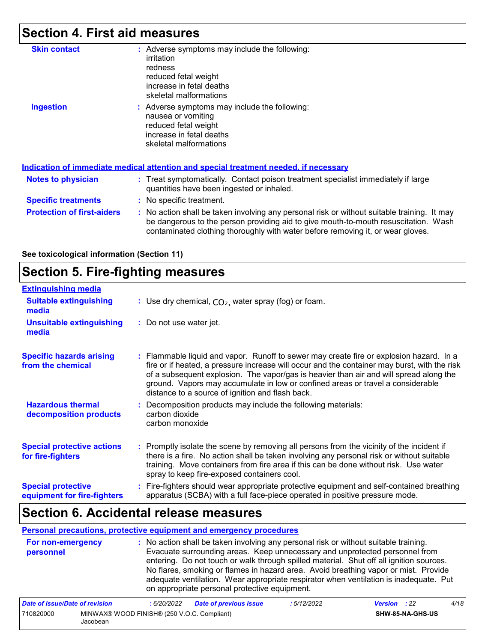## **Section 4. First aid measures**

| <b>Skin contact</b>               | : Adverse symptoms may include the following:<br>irritation<br>redness<br>reduced fetal weight<br>increase in fetal deaths<br>skeletal malformations                                                                                                                  |
|-----------------------------------|-----------------------------------------------------------------------------------------------------------------------------------------------------------------------------------------------------------------------------------------------------------------------|
| <b>Ingestion</b>                  | : Adverse symptoms may include the following:<br>nausea or vomiting<br>reduced fetal weight<br>increase in fetal deaths<br>skeletal malformations                                                                                                                     |
|                                   | Indication of immediate medical attention and special treatment needed, if necessary                                                                                                                                                                                  |
| Notes to physician                | : Treat symptomatically. Contact poison treatment specialist immediately if large<br>quantities have been ingested or inhaled.                                                                                                                                        |
| <b>Specific treatments</b>        | : No specific treatment.                                                                                                                                                                                                                                              |
| <b>Protection of first-aiders</b> | : No action shall be taken involving any personal risk or without suitable training. It may<br>be dangerous to the person providing aid to give mouth-to-mouth resuscitation. Wash<br>contaminated clothing thoroughly with water before removing it, or wear gloves. |

**See toxicological information (Section 11)**

### **Section 5. Fire-fighting measures**

| <b>Extinguishing media</b>                               |                                                                                                                                                                                                                                                                                                                                                                                                                          |
|----------------------------------------------------------|--------------------------------------------------------------------------------------------------------------------------------------------------------------------------------------------------------------------------------------------------------------------------------------------------------------------------------------------------------------------------------------------------------------------------|
| <b>Suitable extinguishing</b><br>media                   | : Use dry chemical, $CO2$ , water spray (fog) or foam.                                                                                                                                                                                                                                                                                                                                                                   |
| <b>Unsuitable extinguishing</b><br>media                 | : Do not use water jet.                                                                                                                                                                                                                                                                                                                                                                                                  |
| <b>Specific hazards arising</b><br>from the chemical     | : Flammable liquid and vapor. Runoff to sewer may create fire or explosion hazard. In a<br>fire or if heated, a pressure increase will occur and the container may burst, with the risk<br>of a subsequent explosion. The vapor/gas is heavier than air and will spread along the<br>ground. Vapors may accumulate in low or confined areas or travel a considerable<br>distance to a source of ignition and flash back. |
| <b>Hazardous thermal</b><br>decomposition products       | : Decomposition products may include the following materials:<br>carbon dioxide<br>carbon monoxide                                                                                                                                                                                                                                                                                                                       |
| <b>Special protective actions</b><br>for fire-fighters   | : Promptly isolate the scene by removing all persons from the vicinity of the incident if<br>there is a fire. No action shall be taken involving any personal risk or without suitable<br>training. Move containers from fire area if this can be done without risk. Use water<br>spray to keep fire-exposed containers cool.                                                                                            |
| <b>Special protective</b><br>equipment for fire-fighters | : Fire-fighters should wear appropriate protective equipment and self-contained breathing<br>apparatus (SCBA) with a full face-piece operated in positive pressure mode.                                                                                                                                                                                                                                                 |

### **Section 6. Accidental release measures**

#### **Personal precautions, protective equipment and emergency procedures**

| For non-emergency<br>personnel | : No action shall be taken involving any personal risk or without suitable training.<br>Evacuate surrounding areas. Keep unnecessary and unprotected personnel from<br>entering. Do not touch or walk through spilled material. Shut off all ignition sources.<br>No flares, smoking or flames in hazard area. Avoid breathing vapor or mist. Provide<br>adequate ventilation. Wear appropriate respirator when ventilation is inadequate. Put |
|--------------------------------|------------------------------------------------------------------------------------------------------------------------------------------------------------------------------------------------------------------------------------------------------------------------------------------------------------------------------------------------------------------------------------------------------------------------------------------------|
|                                | on appropriate personal protective equipment.                                                                                                                                                                                                                                                                                                                                                                                                  |
|                                | $\cdot$ $\cdot$ $\sim$ $\cdot$<br>$\sim$ $\sim$<br>---------                                                                                                                                                                                                                                                                                                                                                                                   |

| Date of issue/Date of revision |                                                         | 6/20/2022 | <b>Date of previous issue</b> | 5/12/2022 | <b>Version</b> : 22 |                  | 4/18 |
|--------------------------------|---------------------------------------------------------|-----------|-------------------------------|-----------|---------------------|------------------|------|
| 710820000                      | MINWAX® WOOD FINISH® (250 V.O.C. Compliant)<br>Jacobean |           |                               |           |                     | SHW-85-NA-GHS-US |      |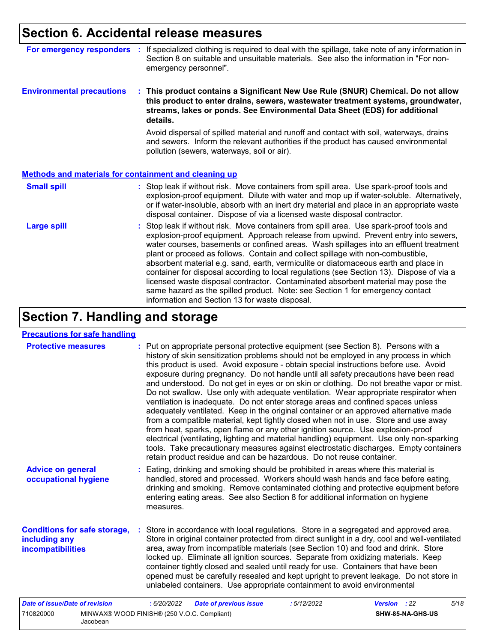### **Section 6. Accidental release measures**

| For emergency responders                                     |  | If specialized clothing is required to deal with the spillage, take note of any information in<br>Section 8 on suitable and unsuitable materials. See also the information in "For non-<br>emergency personnel".                                                                                                                                                                                                                                                                                                                                                                                                                                                                                                                                                   |
|--------------------------------------------------------------|--|--------------------------------------------------------------------------------------------------------------------------------------------------------------------------------------------------------------------------------------------------------------------------------------------------------------------------------------------------------------------------------------------------------------------------------------------------------------------------------------------------------------------------------------------------------------------------------------------------------------------------------------------------------------------------------------------------------------------------------------------------------------------|
| <b>Environmental precautions</b>                             |  | : This product contains a Significant New Use Rule (SNUR) Chemical. Do not allow<br>this product to enter drains, sewers, wastewater treatment systems, groundwater,<br>streams, lakes or ponds. See Environmental Data Sheet (EDS) for additional<br>details.                                                                                                                                                                                                                                                                                                                                                                                                                                                                                                     |
|                                                              |  | Avoid dispersal of spilled material and runoff and contact with soil, waterways, drains<br>and sewers. Inform the relevant authorities if the product has caused environmental<br>pollution (sewers, waterways, soil or air).                                                                                                                                                                                                                                                                                                                                                                                                                                                                                                                                      |
| <b>Methods and materials for containment and cleaning up</b> |  |                                                                                                                                                                                                                                                                                                                                                                                                                                                                                                                                                                                                                                                                                                                                                                    |
| <b>Small spill</b>                                           |  | : Stop leak if without risk. Move containers from spill area. Use spark-proof tools and<br>explosion-proof equipment. Dilute with water and mop up if water-soluble. Alternatively,<br>or if water-insoluble, absorb with an inert dry material and place in an appropriate waste<br>disposal container. Dispose of via a licensed waste disposal contractor.                                                                                                                                                                                                                                                                                                                                                                                                      |
| <b>Large spill</b>                                           |  | Stop leak if without risk. Move containers from spill area. Use spark-proof tools and<br>explosion-proof equipment. Approach release from upwind. Prevent entry into sewers,<br>water courses, basements or confined areas. Wash spillages into an effluent treatment<br>plant or proceed as follows. Contain and collect spillage with non-combustible,<br>absorbent material e.g. sand, earth, vermiculite or diatomaceous earth and place in<br>container for disposal according to local regulations (see Section 13). Dispose of via a<br>licensed waste disposal contractor. Contaminated absorbent material may pose the<br>same hazard as the spilled product. Note: see Section 1 for emergency contact<br>information and Section 13 for waste disposal. |

# **Section 7. Handling and storage**

Jacobean

| <b>Precautions for safe handling</b>                                             |                                                                                                                                                                                                                                                                                                                                                                                                                                                                                                                                                                                                                                                                                                                                                                                                                                                                                                                                                                                                                                                                                                                                                                      |                      |
|----------------------------------------------------------------------------------|----------------------------------------------------------------------------------------------------------------------------------------------------------------------------------------------------------------------------------------------------------------------------------------------------------------------------------------------------------------------------------------------------------------------------------------------------------------------------------------------------------------------------------------------------------------------------------------------------------------------------------------------------------------------------------------------------------------------------------------------------------------------------------------------------------------------------------------------------------------------------------------------------------------------------------------------------------------------------------------------------------------------------------------------------------------------------------------------------------------------------------------------------------------------|----------------------|
| <b>Protective measures</b>                                                       | : Put on appropriate personal protective equipment (see Section 8). Persons with a<br>history of skin sensitization problems should not be employed in any process in which<br>this product is used. Avoid exposure - obtain special instructions before use. Avoid<br>exposure during pregnancy. Do not handle until all safety precautions have been read<br>and understood. Do not get in eyes or on skin or clothing. Do not breathe vapor or mist.<br>Do not swallow. Use only with adequate ventilation. Wear appropriate respirator when<br>ventilation is inadequate. Do not enter storage areas and confined spaces unless<br>adequately ventilated. Keep in the original container or an approved alternative made<br>from a compatible material, kept tightly closed when not in use. Store and use away<br>from heat, sparks, open flame or any other ignition source. Use explosion-proof<br>electrical (ventilating, lighting and material handling) equipment. Use only non-sparking<br>tools. Take precautionary measures against electrostatic discharges. Empty containers<br>retain product residue and can be hazardous. Do not reuse container. |                      |
| <b>Advice on general</b><br>occupational hygiene                                 | : Eating, drinking and smoking should be prohibited in areas where this material is<br>handled, stored and processed. Workers should wash hands and face before eating,<br>drinking and smoking. Remove contaminated clothing and protective equipment before<br>entering eating areas. See also Section 8 for additional information on hygiene<br>measures.                                                                                                                                                                                                                                                                                                                                                                                                                                                                                                                                                                                                                                                                                                                                                                                                        |                      |
| <b>Conditions for safe storage,</b><br>including any<br><b>incompatibilities</b> | : Store in accordance with local regulations. Store in a segregated and approved area.<br>Store in original container protected from direct sunlight in a dry, cool and well-ventilated<br>area, away from incompatible materials (see Section 10) and food and drink. Store<br>locked up. Eliminate all ignition sources. Separate from oxidizing materials. Keep<br>container tightly closed and sealed until ready for use. Containers that have been<br>opened must be carefully resealed and kept upright to prevent leakage. Do not store in<br>unlabeled containers. Use appropriate containment to avoid environmental                                                                                                                                                                                                                                                                                                                                                                                                                                                                                                                                       |                      |
| <b>Date of issue/Date of revision</b>                                            | <b>Date of previous issue</b><br>: 6/20/2022<br>:5/12/2022                                                                                                                                                                                                                                                                                                                                                                                                                                                                                                                                                                                                                                                                                                                                                                                                                                                                                                                                                                                                                                                                                                           | 5/18<br>Version : 22 |
| 710820000                                                                        | MINWAX® WOOD FINISH® (250 V.O.C. Compliant)                                                                                                                                                                                                                                                                                                                                                                                                                                                                                                                                                                                                                                                                                                                                                                                                                                                                                                                                                                                                                                                                                                                          | SHW-85-NA-GHS-US     |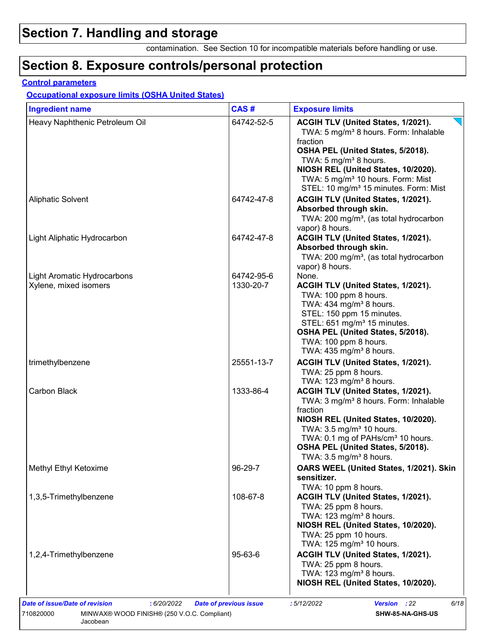## **Section 7. Handling and storage**

contamination. See Section 10 for incompatible materials before handling or use.

## **Section 8. Exposure controls/personal protection**

#### **Control parameters**

#### **Occupational exposure limits (OSHA United States)**

| <b>Ingredient name</b>                                      | CAS#                    | <b>Exposure limits</b>                                                                                                                                                                                                                                                                                         |
|-------------------------------------------------------------|-------------------------|----------------------------------------------------------------------------------------------------------------------------------------------------------------------------------------------------------------------------------------------------------------------------------------------------------------|
| Heavy Naphthenic Petroleum Oil                              | 64742-52-5              | ACGIH TLV (United States, 1/2021).<br>TWA: 5 mg/m <sup>3</sup> 8 hours. Form: Inhalable<br>fraction<br>OSHA PEL (United States, 5/2018).<br>TWA: 5 mg/m <sup>3</sup> 8 hours.<br>NIOSH REL (United States, 10/2020).<br>TWA: 5 mg/m <sup>3</sup> 10 hours. Form: Mist                                          |
| <b>Aliphatic Solvent</b>                                    | 64742-47-8              | STEL: 10 mg/m <sup>3</sup> 15 minutes. Form: Mist<br>ACGIH TLV (United States, 1/2021).<br>Absorbed through skin.<br>TWA: 200 mg/m <sup>3</sup> , (as total hydrocarbon<br>vapor) 8 hours.                                                                                                                     |
| Light Aliphatic Hydrocarbon                                 | 64742-47-8              | ACGIH TLV (United States, 1/2021).<br>Absorbed through skin.<br>TWA: 200 mg/m <sup>3</sup> , (as total hydrocarbon<br>vapor) 8 hours.                                                                                                                                                                          |
| <b>Light Aromatic Hydrocarbons</b><br>Xylene, mixed isomers | 64742-95-6<br>1330-20-7 | None.<br>ACGIH TLV (United States, 1/2021).<br>TWA: 100 ppm 8 hours.<br>TWA: 434 mg/m <sup>3</sup> 8 hours.<br>STEL: 150 ppm 15 minutes.<br>STEL: 651 mg/m <sup>3</sup> 15 minutes.<br>OSHA PEL (United States, 5/2018).<br>TWA: 100 ppm 8 hours.<br>TWA: $435 \text{ mg/m}^3$ 8 hours.                        |
| trimethylbenzene                                            | 25551-13-7              | ACGIH TLV (United States, 1/2021).<br>TWA: 25 ppm 8 hours.<br>TWA: 123 mg/m <sup>3</sup> 8 hours.                                                                                                                                                                                                              |
| Carbon Black                                                | 1333-86-4               | ACGIH TLV (United States, 1/2021).<br>TWA: 3 mg/m <sup>3</sup> 8 hours. Form: Inhalable<br>fraction<br>NIOSH REL (United States, 10/2020).<br>TWA: 3.5 mg/m <sup>3</sup> 10 hours.<br>TWA: 0.1 mg of PAHs/cm <sup>3</sup> 10 hours.<br>OSHA PEL (United States, 5/2018).<br>TWA: $3.5 \text{ mg/m}^3$ 8 hours. |
| Methyl Ethyl Ketoxime                                       | 96-29-7                 | OARS WEEL (United States, 1/2021). Skin<br>sensitizer.<br>TWA: 10 ppm 8 hours.                                                                                                                                                                                                                                 |
| 1,3,5-Trimethylbenzene                                      | 108-67-8                | ACGIH TLV (United States, 1/2021).<br>TWA: 25 ppm 8 hours.<br>TWA: 123 mg/m <sup>3</sup> 8 hours.<br>NIOSH REL (United States, 10/2020).<br>TWA: 25 ppm 10 hours.<br>TWA: $125 \text{ mg/m}^3$ 10 hours.                                                                                                       |
| 1,2,4-Trimethylbenzene                                      | 95-63-6                 | ACGIH TLV (United States, 1/2021).<br>TWA: 25 ppm 8 hours.<br>TWA: 123 mg/m <sup>3</sup> 8 hours.<br>NIOSH REL (United States, 10/2020).                                                                                                                                                                       |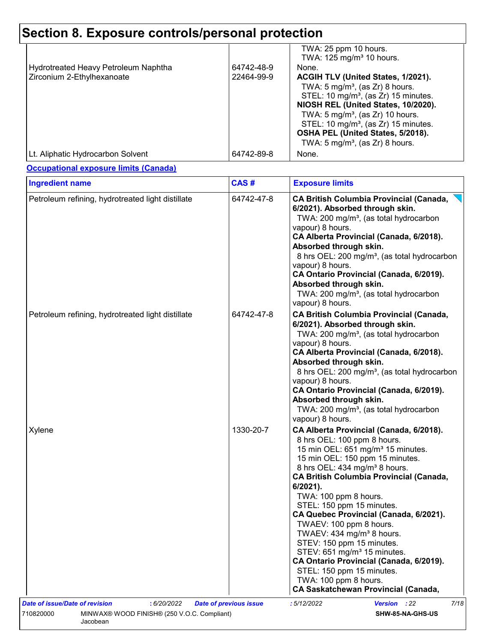|                                      |            | TWA: 25 ppm 10 hours.<br>TWA: 125 mg/m <sup>3</sup> 10 hours. |
|--------------------------------------|------------|---------------------------------------------------------------|
| Hydrotreated Heavy Petroleum Naphtha | 64742-48-9 | None.                                                         |
| Zirconium 2-Ethylhexanoate           | 22464-99-9 | ACGIH TLV (United States, 1/2021).                            |
|                                      |            | TWA: $5 \text{ mg/m}^3$ , (as Zr) 8 hours.                    |
|                                      |            | STEL: 10 mg/m <sup>3</sup> , (as Zr) 15 minutes.              |
|                                      |            | NIOSH REL (United States, 10/2020).                           |
|                                      |            | TWA: $5 \text{ mg/m}^3$ , (as Zr) 10 hours.                   |
|                                      |            | STEL: 10 mg/m <sup>3</sup> , (as Zr) 15 minutes.              |
|                                      |            | OSHA PEL (United States, 5/2018).                             |
|                                      |            | TWA: $5 \text{ mg/m}^3$ , (as Zr) 8 hours.                    |
| Lt. Aliphatic Hydrocarbon Solvent    | 64742-89-8 | None.                                                         |

**Occupational exposure limits (Canada)**

| <b>Ingredient name</b>                                               | CAS#                          | <b>Exposure limits</b>                                                                                                                                                                                                                                                                                                                                                                                                                                                                                                                                                                                                                                           |
|----------------------------------------------------------------------|-------------------------------|------------------------------------------------------------------------------------------------------------------------------------------------------------------------------------------------------------------------------------------------------------------------------------------------------------------------------------------------------------------------------------------------------------------------------------------------------------------------------------------------------------------------------------------------------------------------------------------------------------------------------------------------------------------|
| Petroleum refining, hydrotreated light distillate                    | 64742-47-8                    | <b>CA British Columbia Provincial (Canada,</b><br>6/2021). Absorbed through skin.<br>TWA: 200 mg/m <sup>3</sup> , (as total hydrocarbon<br>vapour) 8 hours.<br>CA Alberta Provincial (Canada, 6/2018).<br>Absorbed through skin.<br>8 hrs OEL: 200 mg/m <sup>3</sup> , (as total hydrocarbon<br>vapour) 8 hours.<br>CA Ontario Provincial (Canada, 6/2019).<br>Absorbed through skin.<br>TWA: 200 mg/m <sup>3</sup> , (as total hydrocarbon<br>vapour) 8 hours.                                                                                                                                                                                                  |
| Petroleum refining, hydrotreated light distillate                    | 64742-47-8                    | <b>CA British Columbia Provincial (Canada,</b><br>6/2021). Absorbed through skin.<br>TWA: 200 mg/m <sup>3</sup> , (as total hydrocarbon<br>vapour) 8 hours.<br>CA Alberta Provincial (Canada, 6/2018).<br>Absorbed through skin.<br>8 hrs OEL: 200 mg/m <sup>3</sup> , (as total hydrocarbon<br>vapour) 8 hours.<br>CA Ontario Provincial (Canada, 6/2019).<br>Absorbed through skin.<br>TWA: 200 mg/m <sup>3</sup> , (as total hydrocarbon<br>vapour) 8 hours.                                                                                                                                                                                                  |
| Xylene                                                               | 1330-20-7                     | CA Alberta Provincial (Canada, 6/2018).<br>8 hrs OEL: 100 ppm 8 hours.<br>15 min OEL: 651 mg/m <sup>3</sup> 15 minutes.<br>15 min OEL: 150 ppm 15 minutes.<br>8 hrs OEL: 434 mg/m <sup>3</sup> 8 hours.<br><b>CA British Columbia Provincial (Canada,</b><br>6/2021).<br>TWA: 100 ppm 8 hours.<br>STEL: 150 ppm 15 minutes.<br>CA Quebec Provincial (Canada, 6/2021).<br>TWAEV: 100 ppm 8 hours.<br>TWAEV: 434 mg/m <sup>3</sup> 8 hours.<br>STEV: 150 ppm 15 minutes.<br>STEV: 651 mg/m <sup>3</sup> 15 minutes.<br>CA Ontario Provincial (Canada, 6/2019).<br>STEL: 150 ppm 15 minutes.<br>TWA: 100 ppm 8 hours.<br><b>CA Saskatchewan Provincial (Canada,</b> |
| <b>Date of issue/Date of revision</b><br>: 6/20/2022                 | <b>Date of previous issue</b> | :5/12/2022<br>7/18<br><b>Version</b> : 22                                                                                                                                                                                                                                                                                                                                                                                                                                                                                                                                                                                                                        |
| 710820000<br>MINWAX® WOOD FINISH® (250 V.O.C. Compliant)<br>Jacobean |                               | SHW-85-NA-GHS-US                                                                                                                                                                                                                                                                                                                                                                                                                                                                                                                                                                                                                                                 |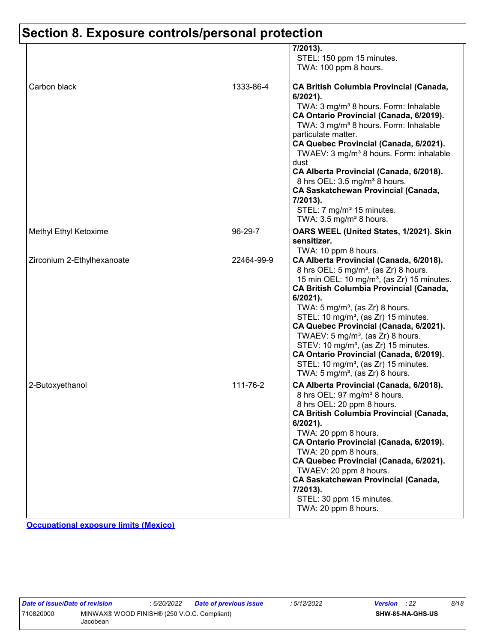|                            |            | 7/2013).<br>STEL: 150 ppm 15 minutes.<br>TWA: 100 ppm 8 hours.                                                                                                                                                                                                                                                                                                                                                                                                                                                                                                                                                                                 |
|----------------------------|------------|------------------------------------------------------------------------------------------------------------------------------------------------------------------------------------------------------------------------------------------------------------------------------------------------------------------------------------------------------------------------------------------------------------------------------------------------------------------------------------------------------------------------------------------------------------------------------------------------------------------------------------------------|
| Carbon black               | 1333-86-4  | <b>CA British Columbia Provincial (Canada,</b><br>$6/2021$ ).<br>TWA: 3 mg/m <sup>3</sup> 8 hours. Form: Inhalable<br>CA Ontario Provincial (Canada, 6/2019).<br>TWA: 3 mg/m <sup>3</sup> 8 hours. Form: Inhalable<br>particulate matter.<br>CA Quebec Provincial (Canada, 6/2021).<br>TWAEV: 3 mg/m <sup>3</sup> 8 hours. Form: inhalable<br>dust<br>CA Alberta Provincial (Canada, 6/2018).<br>8 hrs OEL: 3.5 mg/m <sup>3</sup> 8 hours.<br><b>CA Saskatchewan Provincial (Canada,</b><br>7/2013).<br>STEL: 7 mg/m <sup>3</sup> 15 minutes.<br>TWA: $3.5 \text{ mg/m}^3$ 8 hours.                                                            |
| Methyl Ethyl Ketoxime      | 96-29-7    | OARS WEEL (United States, 1/2021). Skin<br>sensitizer.                                                                                                                                                                                                                                                                                                                                                                                                                                                                                                                                                                                         |
| Zirconium 2-Ethylhexanoate | 22464-99-9 | TWA: 10 ppm 8 hours.<br>CA Alberta Provincial (Canada, 6/2018).<br>8 hrs OEL: 5 mg/m <sup>3</sup> , (as Zr) 8 hours.<br>15 min OEL: 10 mg/m <sup>3</sup> , (as Zr) 15 minutes.<br><b>CA British Columbia Provincial (Canada,</b><br>$6/2021$ ).<br>TWA: $5 \text{ mg/m}^3$ , (as Zr) 8 hours.<br>STEL: 10 mg/m <sup>3</sup> , (as Zr) 15 minutes.<br>CA Quebec Provincial (Canada, 6/2021).<br>TWAEV: 5 mg/m <sup>3</sup> , (as Zr) 8 hours.<br>STEV: 10 mg/m <sup>3</sup> , (as Zr) 15 minutes.<br>CA Ontario Provincial (Canada, 6/2019).<br>STEL: 10 mg/m <sup>3</sup> , (as Zr) 15 minutes.<br>TWA: 5 mg/m <sup>3</sup> , (as Zr) 8 hours. |
| 2-Butoxyethanol            | 111-76-2   | CA Alberta Provincial (Canada, 6/2018).<br>8 hrs OEL: 97 mg/m <sup>3</sup> 8 hours.<br>8 hrs OEL: 20 ppm 8 hours.<br><b>CA British Columbia Provincial (Canada,</b><br>$6/2021$ ).<br>TWA: 20 ppm 8 hours.<br>CA Ontario Provincial (Canada, 6/2019).<br>TWA: 20 ppm 8 hours.<br>CA Quebec Provincial (Canada, 6/2021).<br>TWAEV: 20 ppm 8 hours.<br><b>CA Saskatchewan Provincial (Canada,</b><br>7/2013).<br>STEL: 30 ppm 15 minutes.<br>TWA: 20 ppm 8 hours.                                                                                                                                                                                |

**Occupational exposure limits (Mexico)**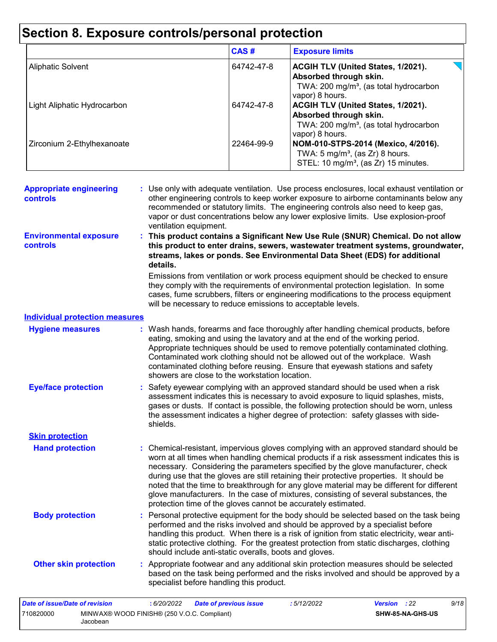|                             | CAS#       | <b>Exposure limits</b>                                                                                                                       |
|-----------------------------|------------|----------------------------------------------------------------------------------------------------------------------------------------------|
| <b>Aliphatic Solvent</b>    | 64742-47-8 | J I<br>ACGIH TLV (United States, 1/2021).<br>Absorbed through skin.<br>TWA: 200 mg/m <sup>3</sup> , (as total hydrocarbon<br>vapor) 8 hours. |
| Light Aliphatic Hydrocarbon | 64742-47-8 | ACGIH TLV (United States, 1/2021).<br>Absorbed through skin.<br>TWA: 200 mg/m <sup>3</sup> , (as total hydrocarbon<br>vapor) 8 hours.        |
| Zirconium 2-Ethylhexanoate  | 22464-99-9 | NOM-010-STPS-2014 (Mexico, 4/2016).<br>TWA: $5 \text{ mg/m}^3$ , (as Zr) 8 hours.<br>STEL: 10 mg/m <sup>3</sup> , (as Zr) 15 minutes.        |

| <b>Appropriate engineering</b><br><b>controls</b> | : Use only with adequate ventilation. Use process enclosures, local exhaust ventilation or<br>other engineering controls to keep worker exposure to airborne contaminants below any<br>recommended or statutory limits. The engineering controls also need to keep gas,<br>vapor or dust concentrations below any lower explosive limits. Use explosion-proof<br>ventilation equipment.                                                                                                                                                                                                                                |
|---------------------------------------------------|------------------------------------------------------------------------------------------------------------------------------------------------------------------------------------------------------------------------------------------------------------------------------------------------------------------------------------------------------------------------------------------------------------------------------------------------------------------------------------------------------------------------------------------------------------------------------------------------------------------------|
| <b>Environmental exposure</b><br><b>controls</b>  | : This product contains a Significant New Use Rule (SNUR) Chemical. Do not allow<br>this product to enter drains, sewers, wastewater treatment systems, groundwater,<br>streams, lakes or ponds. See Environmental Data Sheet (EDS) for additional<br>details.                                                                                                                                                                                                                                                                                                                                                         |
|                                                   | Emissions from ventilation or work process equipment should be checked to ensure<br>they comply with the requirements of environmental protection legislation. In some<br>cases, fume scrubbers, filters or engineering modifications to the process equipment<br>will be necessary to reduce emissions to acceptable levels.                                                                                                                                                                                                                                                                                          |
| <b>Individual protection measures</b>             |                                                                                                                                                                                                                                                                                                                                                                                                                                                                                                                                                                                                                        |
| <b>Hygiene measures</b>                           | : Wash hands, forearms and face thoroughly after handling chemical products, before<br>eating, smoking and using the lavatory and at the end of the working period.<br>Appropriate techniques should be used to remove potentially contaminated clothing.<br>Contaminated work clothing should not be allowed out of the workplace. Wash<br>contaminated clothing before reusing. Ensure that eyewash stations and safety<br>showers are close to the workstation location.                                                                                                                                            |
| <b>Eye/face protection</b>                        | : Safety eyewear complying with an approved standard should be used when a risk<br>assessment indicates this is necessary to avoid exposure to liquid splashes, mists,<br>gases or dusts. If contact is possible, the following protection should be worn, unless<br>the assessment indicates a higher degree of protection: safety glasses with side-<br>shields.                                                                                                                                                                                                                                                     |
| <b>Skin protection</b>                            |                                                                                                                                                                                                                                                                                                                                                                                                                                                                                                                                                                                                                        |
| <b>Hand protection</b>                            | : Chemical-resistant, impervious gloves complying with an approved standard should be<br>worn at all times when handling chemical products if a risk assessment indicates this is<br>necessary. Considering the parameters specified by the glove manufacturer, check<br>during use that the gloves are still retaining their protective properties. It should be<br>noted that the time to breakthrough for any glove material may be different for different<br>glove manufacturers. In the case of mixtures, consisting of several substances, the<br>protection time of the gloves cannot be accurately estimated. |
| <b>Body protection</b>                            | : Personal protective equipment for the body should be selected based on the task being<br>performed and the risks involved and should be approved by a specialist before<br>handling this product. When there is a risk of ignition from static electricity, wear anti-<br>static protective clothing. For the greatest protection from static discharges, clothing<br>should include anti-static overalls, boots and gloves.                                                                                                                                                                                         |
| <b>Other skin protection</b>                      | : Appropriate footwear and any additional skin protection measures should be selected<br>based on the task being performed and the risks involved and should be approved by a<br>specialist before handling this product.                                                                                                                                                                                                                                                                                                                                                                                              |
| Date of issue/Date of revision                    | : 6/20/2022<br>:5/12/2022<br>Version : 22<br>9/18<br><b>Date of previous issue</b>                                                                                                                                                                                                                                                                                                                                                                                                                                                                                                                                     |

**SHW-85-NA-GHS-US**

710820000 MINWAX® WOOD FINISH® (250 V.O.C. Compliant)

Jacobean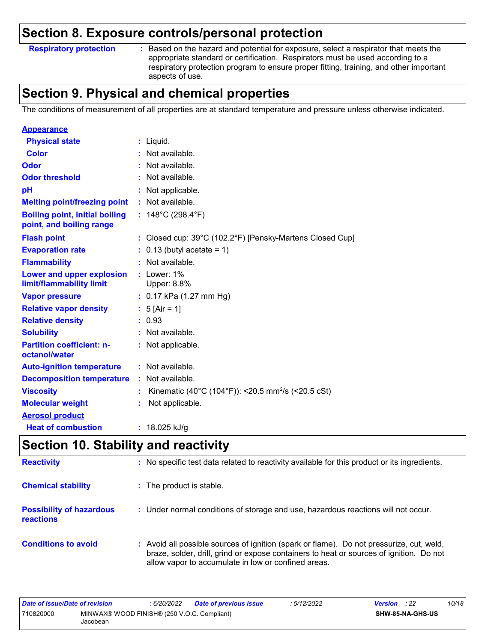#### **Respiratory protection :**

: Based on the hazard and potential for exposure, select a respirator that meets the appropriate standard or certification. Respirators must be used according to a respiratory protection program to ensure proper fitting, training, and other important aspects of use.

### **Section 9. Physical and chemical properties**

The conditions of measurement of all properties are at standard temperature and pressure unless otherwise indicated.

| <b>Appearance</b>                                                 |                                                                |
|-------------------------------------------------------------------|----------------------------------------------------------------|
| <b>Physical state</b>                                             | : Liquid.                                                      |
| Color                                                             | Not available.                                                 |
| Odor                                                              | : Not available.                                               |
| <b>Odor threshold</b>                                             | Not available.                                                 |
| рH                                                                | : Not applicable.                                              |
| <b>Melting point/freezing point</b>                               | : Not available.                                               |
| <b>Boiling point, initial boiling</b><br>point, and boiling range | : $148^{\circ}$ C (298.4 $^{\circ}$ F)                         |
| <b>Flash point</b>                                                | : Closed cup: 39°C (102.2°F) [Pensky-Martens Closed Cup]       |
| <b>Evaporation rate</b>                                           | $: 0.13$ (butyl acetate = 1)                                   |
| <b>Flammability</b>                                               | : Not available.                                               |
| Lower and upper explosion<br>limit/flammability limit             | $:$ Lower: $1\%$<br><b>Upper: 8.8%</b>                         |
| <b>Vapor pressure</b>                                             | : $0.17$ kPa (1.27 mm Hg)                                      |
| <b>Relative vapor density</b>                                     | : $5$ [Air = 1]                                                |
| <b>Relative density</b>                                           | : 0.93                                                         |
| <b>Solubility</b>                                                 | : Not available.                                               |
| <b>Partition coefficient: n-</b><br>octanol/water                 | : Not applicable.                                              |
| <b>Auto-ignition temperature</b>                                  | : Not available.                                               |
| <b>Decomposition temperature</b>                                  | Not available.                                                 |
| <b>Viscosity</b>                                                  | Kinematic (40°C (104°F)): <20.5 mm <sup>2</sup> /s (<20.5 cSt) |
| <b>Molecular weight</b>                                           | Not applicable.                                                |
| <b>Aerosol product</b>                                            |                                                                |
| <b>Heat of combustion</b>                                         | : $18.025$ kJ/g                                                |

### **Section 10. Stability and reactivity**

| <b>Reactivity</b>                            | : No specific test data related to reactivity available for this product or its ingredients.                                                                                                                                               |
|----------------------------------------------|--------------------------------------------------------------------------------------------------------------------------------------------------------------------------------------------------------------------------------------------|
| <b>Chemical stability</b>                    | : The product is stable.                                                                                                                                                                                                                   |
| <b>Possibility of hazardous</b><br>reactions | : Under normal conditions of storage and use, hazardous reactions will not occur.                                                                                                                                                          |
| <b>Conditions to avoid</b>                   | : Avoid all possible sources of ignition (spark or flame). Do not pressurize, cut, weld,<br>braze, solder, drill, grind or expose containers to heat or sources of ignition. Do not<br>allow vapor to accumulate in low or confined areas. |

| Date of issue/Date of revision                                       |  | : 6/20/2022 | Date of previous issue | 5/12/2022               | <b>Version</b> : 22 |  | 10/18 |
|----------------------------------------------------------------------|--|-------------|------------------------|-------------------------|---------------------|--|-------|
| MINWAX® WOOD FINISH® (250 V.O.C. Compliant)<br>710820000<br>Jacobean |  |             |                        | <b>SHW-85-NA-GHS-US</b> |                     |  |       |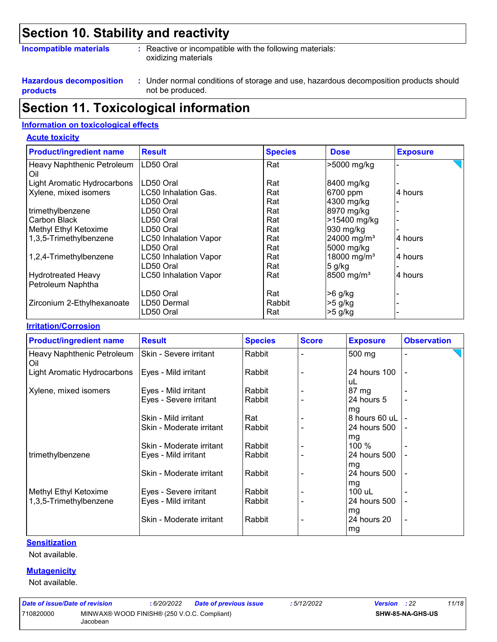### **Section 10. Stability and reactivity**

#### **Incompatible materials :**

Reactive or incompatible with the following materials: oxidizing materials

**Hazardous decomposition products**

Under normal conditions of storage and use, hazardous decomposition products should **:** not be produced.

### **Section 11. Toxicological information**

#### **Information on toxicological effects**

#### **Acute toxicity**

| <b>Product/ingredient name</b>    | <b>Result</b>                | <b>Species</b> | <b>Dose</b>              | <b>Exposure</b> |
|-----------------------------------|------------------------------|----------------|--------------------------|-----------------|
| Heavy Naphthenic Petroleum<br>Oil | LD50 Oral                    | Rat            | >5000 mg/kg              |                 |
| Light Aromatic Hydrocarbons       | LD50 Oral                    | Rat            | 8400 mg/kg               |                 |
| Xylene, mixed isomers             | LC50 Inhalation Gas.         | Rat            | 6700 ppm                 | 4 hours         |
|                                   | LD50 Oral                    | Rat            | 4300 mg/kg               |                 |
| trimethylbenzene                  | LD50 Oral                    | Rat            | 8970 mg/kg               |                 |
| Carbon Black                      | LD50 Oral                    | Rat            | >15400 mg/kg             |                 |
| Methyl Ethyl Ketoxime             | LD50 Oral                    | Rat            | 930 mg/kg                |                 |
| 1,3,5-Trimethylbenzene            | <b>LC50 Inhalation Vapor</b> | Rat            | 24000 mg/m <sup>3</sup>  | 4 hours         |
|                                   | LD50 Oral                    | Rat            | 5000 mg/kg               |                 |
| 1,2,4-Trimethylbenzene            | <b>LC50 Inhalation Vapor</b> | Rat            | 18000 mg/m <sup>3</sup>  | 4 hours         |
|                                   | LD50 Oral                    | Rat            | $5$ g/kg                 |                 |
| <b>Hydrotreated Heavy</b>         | <b>LC50 Inhalation Vapor</b> | Rat            | $8500$ mg/m <sup>3</sup> | 4 hours         |
| Petroleum Naphtha                 |                              |                |                          |                 |
|                                   | LD50 Oral                    | Rat            | >6 g/kg                  |                 |
| Zirconium 2-Ethylhexanoate        | LD50 Dermal                  | Rabbit         | $>5$ g/kg                |                 |
|                                   | LD50 Oral                    | Rat            | $>5$ g/kg                |                 |

#### **Irritation/Corrosion**

| <b>Product/ingredient name</b>    | <b>Result</b>                                    | <b>Species</b>   | <b>Score</b> | <b>Exposure</b>             | <b>Observation</b>       |
|-----------------------------------|--------------------------------------------------|------------------|--------------|-----------------------------|--------------------------|
| Heavy Naphthenic Petroleum<br>Oil | Skin - Severe irritant                           | Rabbit           |              | 500 mg                      |                          |
| Light Aromatic Hydrocarbons       | Eyes - Mild irritant                             | Rabbit           |              | 24 hours 100<br>uL          |                          |
| Xylene, mixed isomers             | Eyes - Mild irritant                             | Rabbit           |              | 87 mg                       |                          |
|                                   | Eyes - Severe irritant                           | Rabbit           |              | 24 hours 5<br>mg            |                          |
|                                   | Skin - Mild irritant                             | Rat              |              | 8 hours 60 uL               |                          |
|                                   | Skin - Moderate irritant                         | Rabbit           |              | 24 hours 500                |                          |
| trimethylbenzene                  | Skin - Moderate irritant<br>Eyes - Mild irritant | Rabbit<br>Rabbit |              | mg<br>100 %<br>24 hours 500 |                          |
|                                   | Skin - Moderate irritant                         | Rabbit           |              | mg<br>24 hours 500<br>mg    | $\overline{\phantom{a}}$ |
| Methyl Ethyl Ketoxime             | Eyes - Severe irritant                           | Rabbit           |              | 100 uL                      |                          |
| 1,3,5-Trimethylbenzene            | Eyes - Mild irritant                             | Rabbit           |              | 24 hours 500                |                          |
|                                   | Skin - Moderate irritant                         | Rabbit           |              | mg<br>24 hours 20<br>mg     | $\overline{\phantom{0}}$ |

#### **Sensitization**

Not available.

#### **Mutagenicity**

Not available.

| Date of issue/Date of revision |                                                         | : 6/20/2022 | <b>Date of previous issue</b> | ·5/12/2022 | <b>Version</b> : 22 |                         | 11/18 |
|--------------------------------|---------------------------------------------------------|-------------|-------------------------------|------------|---------------------|-------------------------|-------|
| 710820000                      | MINWAX® WOOD FINISH® (250 V.O.C. Compliant)<br>Jacobean |             |                               |            |                     | <b>SHW-85-NA-GHS-US</b> |       |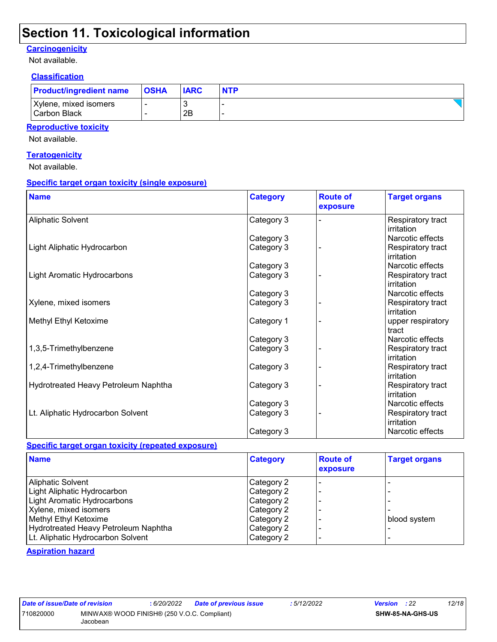### **Section 11. Toxicological information**

#### **Carcinogenicity**

Not available.

#### **Classification**

| <b>Product/ingredient name</b> | <b>OSHA</b> | <b>IARC</b> | <b>NTP</b> |
|--------------------------------|-------------|-------------|------------|
| Xylene, mixed isomers          |             |             |            |
| Carbon Black                   |             | 2B          |            |

#### **Reproductive toxicity**

Not available.

#### **Teratogenicity**

Not available.

#### **Specific target organ toxicity (single exposure)**

| <b>Name</b>                          | <b>Category</b> | <b>Route of</b><br>exposure | <b>Target organs</b>            |
|--------------------------------------|-----------------|-----------------------------|---------------------------------|
| <b>Aliphatic Solvent</b>             | Category 3      |                             | Respiratory tract<br>irritation |
|                                      | Category 3      |                             | Narcotic effects                |
| Light Aliphatic Hydrocarbon          | Category 3      |                             | Respiratory tract<br>irritation |
|                                      | Category 3      |                             | Narcotic effects                |
| Light Aromatic Hydrocarbons          | Category 3      |                             | Respiratory tract<br>irritation |
|                                      | Category 3      |                             | Narcotic effects                |
| Xylene, mixed isomers                | Category 3      |                             | Respiratory tract<br>irritation |
| Methyl Ethyl Ketoxime                | Category 1      |                             | upper respiratory<br>tract      |
|                                      | Category 3      |                             | Narcotic effects                |
| 1,3,5-Trimethylbenzene               | Category 3      |                             | Respiratory tract<br>irritation |
| 1,2,4-Trimethylbenzene               | Category 3      |                             | Respiratory tract<br>irritation |
| Hydrotreated Heavy Petroleum Naphtha | Category 3      |                             | Respiratory tract<br>irritation |
|                                      | Category 3      |                             | Narcotic effects                |
| Lt. Aliphatic Hydrocarbon Solvent    | Category 3      |                             | Respiratory tract<br>irritation |
|                                      | Category 3      |                             | Narcotic effects                |

#### **Specific target organ toxicity (repeated exposure)**

| <b>Name</b>                          | <b>Category</b> | <b>Route of</b><br>exposure | <b>Target organs</b> |
|--------------------------------------|-----------------|-----------------------------|----------------------|
| <b>Aliphatic Solvent</b>             | Category 2      |                             |                      |
| Light Aliphatic Hydrocarbon          | Category 2      |                             |                      |
| Light Aromatic Hydrocarbons          | Category 2      |                             |                      |
| Xylene, mixed isomers                | Category 2      |                             |                      |
| Methyl Ethyl Ketoxime                | Category 2      |                             | blood system         |
| Hydrotreated Heavy Petroleum Naphtha | Category 2      |                             |                      |
| Lt. Aliphatic Hydrocarbon Solvent    | Category 2      |                             |                      |

#### **Aspiration hazard**

| Date of issue/Date of revision |                                                         | : 6/20/2022 Date of previous issue | :5/12/2022 | <b>Version</b> : 22 |                         | 12/18 |
|--------------------------------|---------------------------------------------------------|------------------------------------|------------|---------------------|-------------------------|-------|
| 710820000                      | MINWAX® WOOD FINISH® (250 V.O.C. Compliant)<br>Jacobean |                                    |            |                     | <b>SHW-85-NA-GHS-US</b> |       |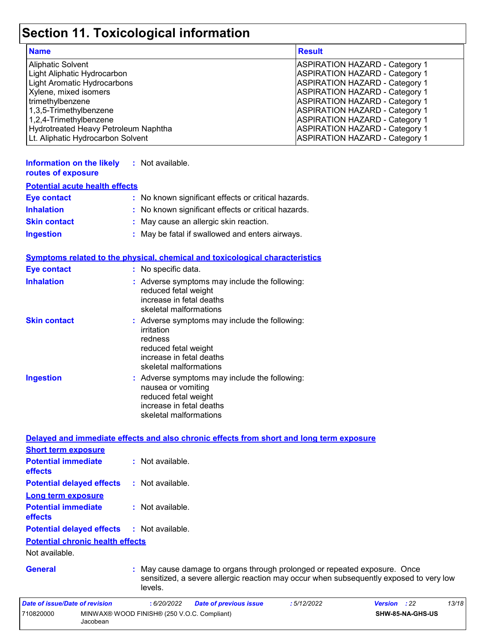# **Section 11. Toxicological information**

| <b>Name</b>                          | <b>Result</b>                         |
|--------------------------------------|---------------------------------------|
| <b>Aliphatic Solvent</b>             | ASPIRATION HAZARD - Category 1        |
| Light Aliphatic Hydrocarbon          | <b>ASPIRATION HAZARD - Category 1</b> |
| Light Aromatic Hydrocarbons          | <b>ASPIRATION HAZARD - Category 1</b> |
| Xylene, mixed isomers                | <b>ASPIRATION HAZARD - Category 1</b> |
| trimethylbenzene                     | <b>ASPIRATION HAZARD - Category 1</b> |
| 1,3,5-Trimethylbenzene               | <b>ASPIRATION HAZARD - Category 1</b> |
| 1,2,4-Trimethylbenzene               | <b>ASPIRATION HAZARD - Category 1</b> |
| Hydrotreated Heavy Petroleum Naphtha | <b>ASPIRATION HAZARD - Category 1</b> |
| Lt. Aliphatic Hydrocarbon Solvent    | <b>ASPIRATION HAZARD - Category 1</b> |

| Information on the likely<br>routes of exposure | : Not available.                                    |
|-------------------------------------------------|-----------------------------------------------------|
| <b>Potential acute health effects</b>           |                                                     |
| <b>Eye contact</b>                              | : No known significant effects or critical hazards. |
| <b>Inhalation</b>                               | : No known significant effects or critical hazards. |
| <b>Skin contact</b>                             | : May cause an allergic skin reaction.              |
| <b>Ingestion</b>                                | : May be fatal if swallowed and enters airways.     |

#### **Symptoms related to the physical, chemical and toxicological characteristics**

| <b>Eye contact</b>  | : No specific data.                                                                                                                                  |
|---------------------|------------------------------------------------------------------------------------------------------------------------------------------------------|
| <b>Inhalation</b>   | : Adverse symptoms may include the following:<br>reduced fetal weight<br>increase in fetal deaths<br>skeletal malformations                          |
| <b>Skin contact</b> | : Adverse symptoms may include the following:<br>irritation<br>redness<br>reduced fetal weight<br>increase in fetal deaths<br>skeletal malformations |
| <b>Ingestion</b>    | : Adverse symptoms may include the following:<br>nausea or vomiting<br>reduced fetal weight<br>increase in fetal deaths<br>skeletal malformations    |

|                                              | Delayed and immediate effects and also chronic effects from short and long term exposure                                                                                       |
|----------------------------------------------|--------------------------------------------------------------------------------------------------------------------------------------------------------------------------------|
| <b>Short term exposure</b>                   |                                                                                                                                                                                |
| <b>Potential immediate</b><br><b>effects</b> | $:$ Not available.                                                                                                                                                             |
| <b>Potential delayed effects</b>             | : Not available.                                                                                                                                                               |
| <b>Long term exposure</b>                    |                                                                                                                                                                                |
| <b>Potential immediate</b><br><b>effects</b> | $\therefore$ Not available.                                                                                                                                                    |
| <b>Potential delayed effects</b>             | : Not available.                                                                                                                                                               |
| <b>Potential chronic health effects</b>      |                                                                                                                                                                                |
| Not available.                               |                                                                                                                                                                                |
| <b>General</b>                               | : May cause damage to organs through prolonged or repeated exposure. Once<br>sensitized, a severe allergic reaction may occur when subsequently exposed to very low<br>levels. |
| <b>Date of issue/Date of revision</b>        | 13/18<br>: 6/20/2022<br><b>Date of previous issue</b><br>:5/12/2022<br>: 22<br><b>Version</b>                                                                                  |
| 710820000<br>Jacobean                        | MINWAX® WOOD FINISH® (250 V.O.C. Compliant)<br>SHW-85-NA-GHS-US                                                                                                                |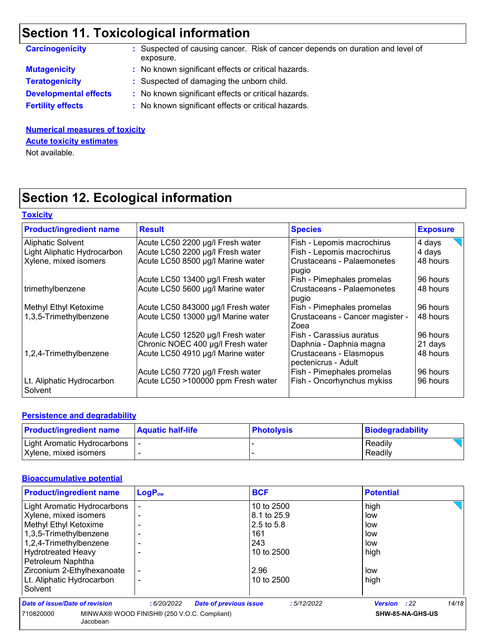# **Section 11. Toxicological information**

| <b>Carcinogenicity</b>       | : Suspected of causing cancer. Risk of cancer depends on duration and level of<br>exposure. |
|------------------------------|---------------------------------------------------------------------------------------------|
| <b>Mutagenicity</b>          | : No known significant effects or critical hazards.                                         |
| <b>Teratogenicity</b>        | : Suspected of damaging the unborn child.                                                   |
| <b>Developmental effects</b> | : No known significant effects or critical hazards.                                         |
| <b>Fertility effects</b>     | : No known significant effects or critical hazards.                                         |

#### **Numerical measures of toxicity** Not available. **Acute toxicity estimates**

## **Section 12. Ecological information**

| <b>Toxicity</b>                      |                                    |                                                |                 |
|--------------------------------------|------------------------------------|------------------------------------------------|-----------------|
| <b>Product/ingredient name</b>       | <b>Result</b>                      | <b>Species</b>                                 | <b>Exposure</b> |
| <b>Aliphatic Solvent</b>             | Acute LC50 2200 µg/l Fresh water   | Fish - Lepomis macrochirus                     | 4 days          |
| Light Aliphatic Hydrocarbon          | Acute LC50 2200 µg/l Fresh water   | Fish - Lepomis macrochirus                     | 4 days          |
| Xylene, mixed isomers                | Acute LC50 8500 µg/l Marine water  | Crustaceans - Palaemonetes<br>pugio            | 48 hours        |
|                                      | Acute LC50 13400 µg/l Fresh water  | Fish - Pimephales promelas                     | 96 hours        |
| trimethylbenzene                     | Acute LC50 5600 µg/l Marine water  | Crustaceans - Palaemonetes<br>pugio            | 48 hours        |
| Methyl Ethyl Ketoxime                | Acute LC50 843000 µg/l Fresh water | Fish - Pimephales promelas                     | 96 hours        |
| 1,3,5-Trimethylbenzene               | Acute LC50 13000 µg/l Marine water | Crustaceans - Cancer magister -<br>Zoea        | 48 hours        |
|                                      | Acute LC50 12520 µg/l Fresh water  | Fish - Carassius auratus                       | 96 hours        |
|                                      | Chronic NOEC 400 µg/l Fresh water  | Daphnia - Daphnia magna                        | 21 days         |
| 1,2,4-Trimethylbenzene               | Acute LC50 4910 µg/l Marine water  | Crustaceans - Elasmopus<br>pectenicrus - Adult | 48 hours        |
|                                      | Acute LC50 7720 µg/l Fresh water   | Fish - Pimephales promelas                     | 96 hours        |
| Lt. Aliphatic Hydrocarbon<br>Solvent | Acute LC50 >100000 ppm Fresh water | Fish - Oncorhynchus mykiss                     | 96 hours        |

#### **Persistence and degradability**

| <b>Product/ingredient name</b> | <b>Aquatic half-life</b> | <b>Photolysis</b> | Biodegradability |
|--------------------------------|--------------------------|-------------------|------------------|
| Light Aromatic Hydrocarbons    |                          |                   | Readily          |
| Xylene, mixed isomers          |                          |                   | Readily          |

#### **Bioaccumulative potential**

| <b>Product/ingredient name</b> | LogP <sub>ow</sub>                          | <b>BCF</b>  | <b>Potential</b>        |
|--------------------------------|---------------------------------------------|-------------|-------------------------|
| Light Aromatic Hydrocarbons    |                                             | 10 to 2500  | high                    |
| Xylene, mixed isomers          |                                             | 8.1 to 25.9 | low                     |
| Methyl Ethyl Ketoxime          |                                             | 2.5 to 5.8  | low                     |
| 1,3,5-Trimethylbenzene         |                                             | 161         | low                     |
| 1,2,4-Trimethylbenzene         |                                             | 243         | low                     |
| <b>Hydrotreated Heavy</b>      |                                             | 10 to 2500  | high                    |
| Petroleum Naphtha              |                                             |             |                         |
| Zirconium 2-Ethylhexanoate     |                                             | 2.96        | low                     |
| Lt. Aliphatic Hydrocarbon      |                                             | 10 to 2500  | high                    |
| Solvent                        |                                             |             |                         |
| Date of issue/Date of revision | <b>Date of previous issue</b><br>:6/20/2022 | :5/12/2022  | 14/18<br>:22<br>Version |
| 710820000<br>Jacobean          | MINWAX® WOOD FINISH® (250 V.O.C. Compliant) |             | SHW-85-NA-GHS-US        |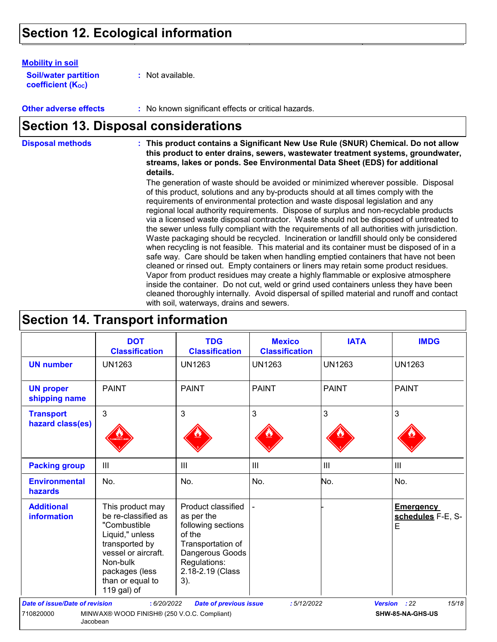### **Section 12. Ecological information**

#### **Mobility in soil**

**Soil/water partition coefficient (K**<sub>oc</sub>)

**:** Not available.

**Other adverse effects** : No known significant effects or critical hazards.

### **Section 13. Disposal considerations**

**Disposal methods : This product contains a Significant New Use Rule (SNUR) Chemical. Do not allow this product to enter drains, sewers, wastewater treatment systems, groundwater, streams, lakes or ponds. See Environmental Data Sheet (EDS) for additional details.**

> The generation of waste should be avoided or minimized wherever possible. Disposal of this product, solutions and any by-products should at all times comply with the requirements of environmental protection and waste disposal legislation and any regional local authority requirements. Dispose of surplus and non-recyclable products via a licensed waste disposal contractor. Waste should not be disposed of untreated to the sewer unless fully compliant with the requirements of all authorities with jurisdiction. Waste packaging should be recycled. Incineration or landfill should only be considered when recycling is not feasible. This material and its container must be disposed of in a safe way. Care should be taken when handling emptied containers that have not been cleaned or rinsed out. Empty containers or liners may retain some product residues. Vapor from product residues may create a highly flammable or explosive atmosphere inside the container. Do not cut, weld or grind used containers unless they have been cleaned thoroughly internally. Avoid dispersal of spilled material and runoff and contact with soil, waterways, drains and sewers.

### **Section 14. Transport information**

|                                                    | <b>DOT</b><br><b>Classification</b>                                                                                                                                                  | <b>TDG</b><br><b>Classification</b>                                                                                                                 | <b>Mexico</b><br><b>Classification</b> | <b>IATA</b>    | <b>IMDG</b>                                |
|----------------------------------------------------|--------------------------------------------------------------------------------------------------------------------------------------------------------------------------------------|-----------------------------------------------------------------------------------------------------------------------------------------------------|----------------------------------------|----------------|--------------------------------------------|
| <b>UN number</b>                                   | <b>UN1263</b>                                                                                                                                                                        | <b>UN1263</b>                                                                                                                                       | <b>UN1263</b>                          | <b>UN1263</b>  | <b>UN1263</b>                              |
| <b>UN proper</b><br>shipping name                  | <b>PAINT</b>                                                                                                                                                                         | <b>PAINT</b>                                                                                                                                        | <b>PAINT</b>                           | <b>PAINT</b>   | <b>PAINT</b>                               |
| <b>Transport</b><br>hazard class(es)               | 3                                                                                                                                                                                    | 3                                                                                                                                                   | $\mathfrak{S}$                         | 3              | 3                                          |
| <b>Packing group</b>                               | III                                                                                                                                                                                  | $\mathbf{III}$                                                                                                                                      | III                                    | $\mathbf{III}$ | III                                        |
| <b>Environmental</b><br>hazards                    | No.                                                                                                                                                                                  | No.                                                                                                                                                 | No.                                    | No.            | No.                                        |
| <b>Additional</b><br><b>information</b>            | This product may<br>be re-classified as<br>"Combustible<br>Liquid," unless<br>transported by<br>vessel or aircraft.<br>Non-bulk<br>packages (less<br>than or equal to<br>119 gal) of | Product classified<br>as per the<br>following sections<br>of the<br>Transportation of<br>Dangerous Goods<br>Regulations:<br>2.18-2.19 (Class<br>3). |                                        |                | <b>Emergency</b><br>schedules F-E, S-<br>E |
| <b>Date of issue/Date of revision</b><br>710820000 | : 6/20/2022<br>MINWAX® WOOD FINISH® (250 V.O.C. Compliant)                                                                                                                           | <b>Date of previous issue</b>                                                                                                                       | :5/12/2022                             |                | 15/18<br>Version : 22<br>SHW-85-NA-GHS-US  |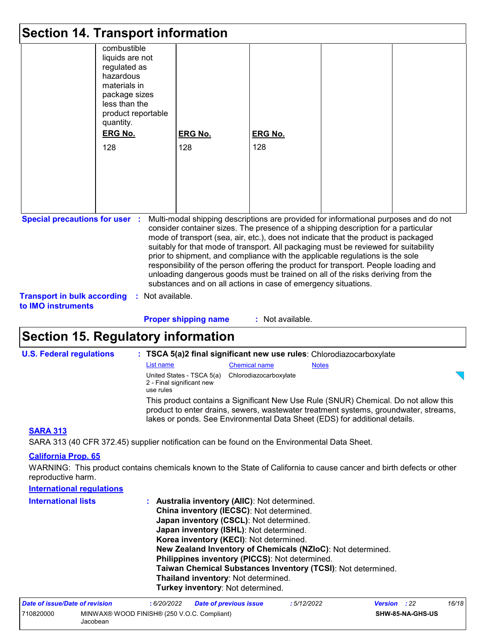|                                                                                                   | <b>Section 14. Transport information</b>                                                                                                                                  |                                                                                                                                                                                                                                                                                                                                                                                                                                                                                                                                                                                                                                                                                                                    |                       |  |
|---------------------------------------------------------------------------------------------------|---------------------------------------------------------------------------------------------------------------------------------------------------------------------------|--------------------------------------------------------------------------------------------------------------------------------------------------------------------------------------------------------------------------------------------------------------------------------------------------------------------------------------------------------------------------------------------------------------------------------------------------------------------------------------------------------------------------------------------------------------------------------------------------------------------------------------------------------------------------------------------------------------------|-----------------------|--|
|                                                                                                   | combustible<br>liquids are not<br>regulated as<br>hazardous<br>materials in<br>package sizes<br>less than the<br>product reportable<br>quantity.<br><b>ERG No.</b><br>128 | <b>ERG No.</b><br>128                                                                                                                                                                                                                                                                                                                                                                                                                                                                                                                                                                                                                                                                                              | <b>ERG No.</b><br>128 |  |
| <b>Special precautions for user :</b><br><b>Transport in bulk according</b><br>to IMO instruments | Not available.<br>÷.                                                                                                                                                      | Multi-modal shipping descriptions are provided for informational purposes and do not<br>consider container sizes. The presence of a shipping description for a particular<br>mode of transport (sea, air, etc.), does not indicate that the product is packaged<br>suitably for that mode of transport. All packaging must be reviewed for suitability<br>prior to shipment, and compliance with the applicable regulations is the sole<br>responsibility of the person offering the product for transport. People loading and<br>unloading dangerous goods must be trained on all of the risks deriving from the<br>substances and on all actions in case of emergency situations.<br><b>Proper shipping name</b> | : Not available.      |  |

### **Section 15. Regulatory information**

| <b>U.S. Federal regulations</b>                                                                                                                                                                                                                                                                                                                                                                                                           | : TSCA 5(a)2 final significant new use rules: Chlorodiazocarboxylate                       |                      |                                                                                                                                                                                                                                                           |  |  |  |
|-------------------------------------------------------------------------------------------------------------------------------------------------------------------------------------------------------------------------------------------------------------------------------------------------------------------------------------------------------------------------------------------------------------------------------------------|--------------------------------------------------------------------------------------------|----------------------|-----------------------------------------------------------------------------------------------------------------------------------------------------------------------------------------------------------------------------------------------------------|--|--|--|
|                                                                                                                                                                                                                                                                                                                                                                                                                                           | List name                                                                                  | <b>Chemical name</b> | <b>Notes</b>                                                                                                                                                                                                                                              |  |  |  |
|                                                                                                                                                                                                                                                                                                                                                                                                                                           | United States - TSCA 5(a) Chlorodiazocarboxylate<br>2 - Final significant new<br>use rules |                      |                                                                                                                                                                                                                                                           |  |  |  |
|                                                                                                                                                                                                                                                                                                                                                                                                                                           |                                                                                            |                      | This product contains a Significant New Use Rule (SNUR) Chemical. Do not allow this<br>product to enter drains, sewers, wastewater treatment systems, groundwater, streams,<br>lakes or ponds. See Environmental Data Sheet (EDS) for additional details. |  |  |  |
| <b>SARA 313</b><br>$\mathsf{A} \mathsf{B} \mathsf{A} \mathsf{A} \mathsf{A} \mathsf{A} \mathsf{A} \mathsf{A} \mathsf{B} \mathsf{A} \mathsf{B} \mathsf{B} \mathsf{A} \mathsf{B} \mathsf{B} \mathsf{B} \mathsf{B} \mathsf{B} \mathsf{B} \mathsf{B} \mathsf{B} \mathsf{B} \mathsf{B} \mathsf{B} \mathsf{B} \mathsf{B} \mathsf{B} \mathsf{B} \mathsf{B} \mathsf{B} \mathsf{B} \mathsf{B} \mathsf{B} \mathsf{B} \mathsf{B} \mathsf{B} \mathsf{$ |                                                                                            |                      |                                                                                                                                                                                                                                                           |  |  |  |

SARA 313 (40 CFR 372.45) supplier notification can be found on the Environmental Data Sheet.

#### **California Prop. 65**

WARNING: This product contains chemicals known to the State of California to cause cancer and birth defects or other reproductive harm.

| <b>International requlations</b> |                                                                                                                                                                                                                                                                                                                                                                                                                                                                                         |
|----------------------------------|-----------------------------------------------------------------------------------------------------------------------------------------------------------------------------------------------------------------------------------------------------------------------------------------------------------------------------------------------------------------------------------------------------------------------------------------------------------------------------------------|
| <b>International lists</b>       | : Australia inventory (AIIC): Not determined.<br>China inventory (IECSC): Not determined.<br>Japan inventory (CSCL): Not determined.<br>Japan inventory (ISHL): Not determined.<br>Korea inventory (KECI): Not determined.<br>New Zealand Inventory of Chemicals (NZIoC): Not determined.<br>Philippines inventory (PICCS): Not determined.<br>Taiwan Chemical Substances Inventory (TCSI): Not determined.<br>Thailand inventory: Not determined.<br>Turkey inventory: Not determined. |

| Date of issue/Date of revision |                                                         | : 6/20/2022 | <b>Date of previous issue</b> | : 5/12/2022 | <b>Version</b> : 22 |                         | 16/18 |
|--------------------------------|---------------------------------------------------------|-------------|-------------------------------|-------------|---------------------|-------------------------|-------|
| 710820000                      | MINWAX® WOOD FINISH® (250 V.O.C. Compliant)<br>Jacobean |             |                               |             |                     | <b>SHW-85-NA-GHS-US</b> |       |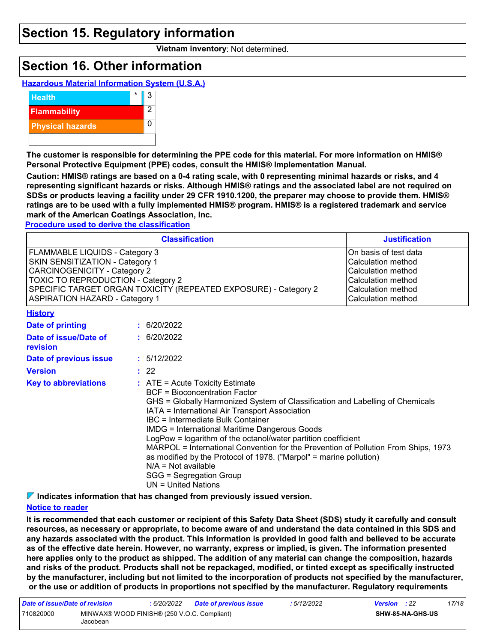### **Section 15. Regulatory information**

**Vietnam inventory**: Not determined.

### **Section 16. Other information**





**The customer is responsible for determining the PPE code for this material. For more information on HMIS® Personal Protective Equipment (PPE) codes, consult the HMIS® Implementation Manual.**

**Caution: HMIS® ratings are based on a 0-4 rating scale, with 0 representing minimal hazards or risks, and 4 representing significant hazards or risks. Although HMIS® ratings and the associated label are not required on SDSs or products leaving a facility under 29 CFR 1910.1200, the preparer may choose to provide them. HMIS® ratings are to be used with a fully implemented HMIS® program. HMIS® is a registered trademark and service mark of the American Coatings Association, Inc.**

#### **Procedure used to derive the classification**

|                                                                                                                                                                                                                                                            | <b>Classification</b>                                                                                                                                                                                                                                      | <b>Justification</b> |
|------------------------------------------------------------------------------------------------------------------------------------------------------------------------------------------------------------------------------------------------------------|------------------------------------------------------------------------------------------------------------------------------------------------------------------------------------------------------------------------------------------------------------|----------------------|
| FLAMMABLE LIQUIDS - Category 3<br>SKIN SENSITIZATION - Category 1<br><b>CARCINOGENICITY - Category 2</b><br>TOXIC TO REPRODUCTION - Category 2<br>SPECIFIC TARGET ORGAN TOXICITY (REPEATED EXPOSURE) - Category 2<br><b>ASPIRATION HAZARD - Category 1</b> | On basis of test data<br>Calculation method<br>Calculation method<br>Calculation method<br>Calculation method<br>Calculation method                                                                                                                        |                      |
| <b>History</b>                                                                                                                                                                                                                                             |                                                                                                                                                                                                                                                            |                      |
| Date of printing                                                                                                                                                                                                                                           | : 6/20/2022                                                                                                                                                                                                                                                |                      |
| Date of issue/Date of<br>revision                                                                                                                                                                                                                          | : 6/20/2022                                                                                                                                                                                                                                                |                      |
| Date of previous issue                                                                                                                                                                                                                                     | : 5/12/2022                                                                                                                                                                                                                                                |                      |
| <b>Version</b>                                                                                                                                                                                                                                             | : 22                                                                                                                                                                                                                                                       |                      |
| <b>Key to abbreviations</b>                                                                                                                                                                                                                                | : ATE = Acute Toxicity Estimate<br><b>BCF</b> = Bioconcentration Factor<br>GHS = Globally Harmonized System of Classification and Labelling of Chemicals<br>IATA = International Air Transport Association<br>$\mathsf{IRC}$ = Intermediate Bulk Container |                      |

IBC = Intermediate Bulk Container IMDG = International Maritime Dangerous Goods

LogPow = logarithm of the octanol/water partition coefficient

MARPOL = International Convention for the Prevention of Pollution From Ships, 1973 as modified by the Protocol of 1978. ("Marpol" = marine pollution) N/A = Not available

SGG = Segregation Group

UN = United Nations

**Indicates information that has changed from previously issued version.**

#### **Notice to reader**

**It is recommended that each customer or recipient of this Safety Data Sheet (SDS) study it carefully and consult resources, as necessary or appropriate, to become aware of and understand the data contained in this SDS and any hazards associated with the product. This information is provided in good faith and believed to be accurate as of the effective date herein. However, no warranty, express or implied, is given. The information presented here applies only to the product as shipped. The addition of any material can change the composition, hazards and risks of the product. Products shall not be repackaged, modified, or tinted except as specifically instructed by the manufacturer, including but not limited to the incorporation of products not specified by the manufacturer, or the use or addition of products in proportions not specified by the manufacturer. Regulatory requirements** 

| Date of issue/Date of revision |                                                         | 6/20/2022 | Date of previous issue | : 5/12/2022 | <b>Version</b> : 22 |                  | 17/18 |
|--------------------------------|---------------------------------------------------------|-----------|------------------------|-------------|---------------------|------------------|-------|
| 710820000                      | MINWAX® WOOD FINISH® (250 V.O.C. Compliant)<br>Jacobean |           |                        |             |                     | SHW-85-NA-GHS-US |       |